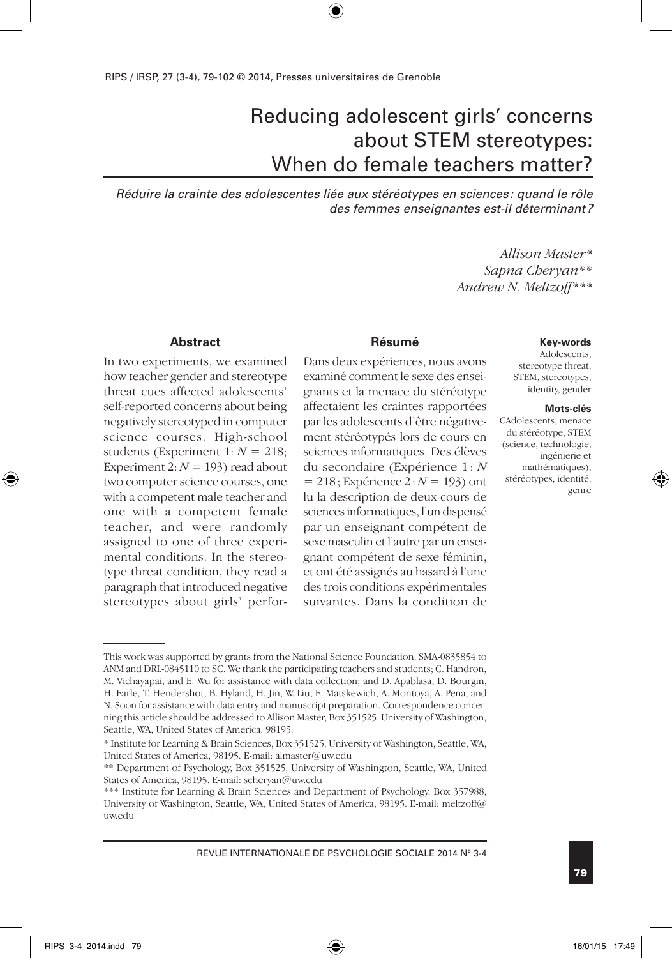# Reducing adolescent girls' concerns about STEM stereotypes: When do female teachers matter?

*Réduire la crainte des adolescentes liée aux stéréotypes en sciences : quand le rôle des femmes enseignantes est-il déterminant?*

> *Allison Master\* Sapna Cheryan\*\* Andrew N. Meltzoff\*\*\**

#### **Abstract**

In two experiments, we examined how teacher gender and stereotype threat cues affected adolescents' self-reported concerns about being negatively stereotyped in computer science courses. High-school students (Experiment  $1: N = 218$ ; Experiment 2:  $N = 193$ ) read about two computer science courses, one with a competent male teacher and one with a competent female teacher, and were randomly assigned to one of three experimental conditions. In the stereotype threat condition, they read a paragraph that introduced negative stereotypes about girls' perfor-

#### **Résumé**

Dans deux expériences, nous avons examiné comment le sexe des enseignants et la menace du stéréotype affectaient les craintes rapportées par les adolescents d'être négativement stéréotypés lors de cours en sciences informatiques. Des élèves du secondaire (Expérience 1 : *N* = 218; Expérience 2: *N* = 193) ont lu la description de deux cours de sciences informatiques, l'un dispensé par un enseignant compétent de sexe masculin et l'autre par un enseignant compétent de sexe féminin, et ont été assignés au hasard à l'une des trois conditions expérimentales suivantes. Dans la condition de

#### **Key-words**

Adolescents, stereotype threat, STEM, stereotypes, identity, gender

#### **Mots-clés**

CAdolescents, menace du stéréotype, STEM (science, technologie, ingénierie et mathématiques), stéréotypes, identité, genre

This work was supported by grants from the National Science Foundation, SMA-0835854 to ANM and DRL-0845110 to SC. We thank the participating teachers and students; C. Handron, M. Vichayapai, and E. Wu for assistance with data collection; and D. Apablasa, D. Bourgin, H. Earle, T. Hendershot, B. Hyland, H. Jin, W. Liu, E. Matskewich, A. Montoya, A. Pena, and N. Soon for assistance with data entry and manuscript preparation. Correspondence concerning this article should be addressed to Allison Master, Box 351525, University of Washington, Seattle, WA, United States of America, 98195.

<sup>\*</sup> Institute for Learning & Brain Sciences, Box 351525, University of Washington, Seattle, WA, United States of America, 98195. E-mail: almaster@uw.edu

<sup>\*\*</sup> Department of Psychology, Box 351525, University of Washington, Seattle, WA, United States of America, 98195. E-mail: scheryan@uw.edu

<sup>\*\*\*</sup> Institute for Learning & Brain Sciences and Department of Psychology, Box 357988, University of Washington, Seattle, WA, United States of America, 98195. E-mail: meltzoff@ uw.edu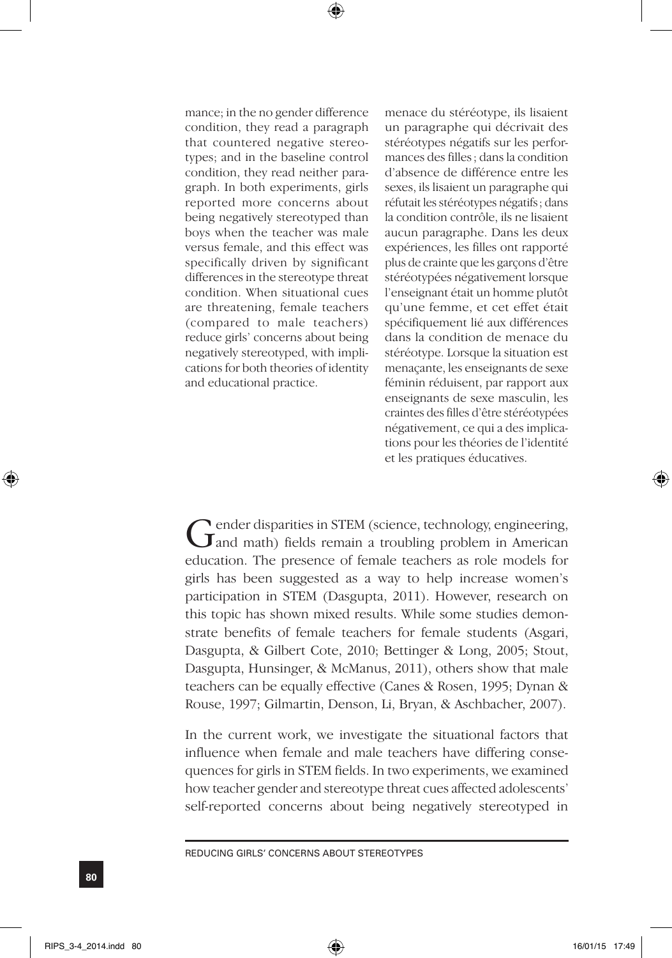mance; in the no gender difference condition, they read a paragraph that countered negative stereotypes; and in the baseline control condition, they read neither paragraph. In both experiments, girls reported more concerns about being negatively stereotyped than boys when the teacher was male versus female, and this effect was specifically driven by significant differences in the stereotype threat condition. When situational cues are threatening, female teachers (compared to male teachers) reduce girls' concerns about being negatively stereotyped, with implications for both theories of identity and educational practice.

menace du stéréotype, ils lisaient un paragraphe qui décrivait des stéréotypes négatifs sur les performances des filles ; dans la condition d'absence de différence entre les sexes, ils lisaient un paragraphe qui réfutait les stéréotypes négatifs ; dans la condition contrôle, ils ne lisaient aucun paragraphe. Dans les deux expériences, les filles ont rapporté plus de crainte que les garçons d'être stéréotypées négativement lorsque l'enseignant était un homme plutôt qu'une femme, et cet effet était spécifiquement lié aux différences dans la condition de menace du stéréotype. Lorsque la situation est menaçante, les enseignants de sexe féminin réduisent, par rapport aux enseignants de sexe masculin, les craintes des filles d'être stéréotypées négativement, ce qui a des implications pour les théories de l'identité et les pratiques éducatives.

Gender disparities in STEM (science, technology, engineering, and math) fields remain a troubling problem in American education. The presence of female teachers as role models for girls has been suggested as a way to help increase women's participation in STEM (Dasgupta, 2011). However, research on this topic has shown mixed results. While some studies demonstrate benefits of female teachers for female students (Asgari, Dasgupta, & Gilbert Cote, 2010; Bettinger & Long, 2005; Stout, Dasgupta, Hunsinger, & McManus, 2011), others show that male teachers can be equally effective (Canes & Rosen, 1995; Dynan & Rouse, 1997; Gilmartin, Denson, Li, Bryan, & Aschbacher, 2007).

In the current work, we investigate the situational factors that influence when female and male teachers have differing consequences for girls in STEM fields. In two experiments, we examined how teacher gender and stereotype threat cues affected adolescents' self-reported concerns about being negatively stereotyped in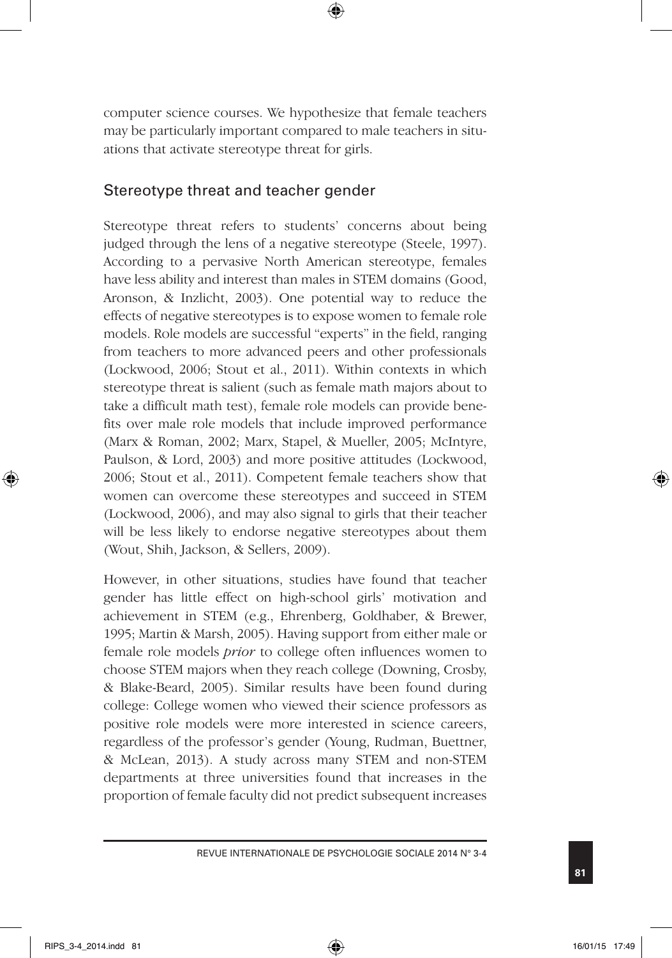computer science courses. We hypothesize that female teachers may be particularly important compared to male teachers in situations that activate stereotype threat for girls.

## Stereotype threat and teacher gender

Stereotype threat refers to students' concerns about being judged through the lens of a negative stereotype (Steele, 1997). According to a pervasive North American stereotype, females have less ability and interest than males in STEM domains (Good, Aronson, & Inzlicht, 2003). One potential way to reduce the effects of negative stereotypes is to expose women to female role models. Role models are successful "experts" in the field, ranging from teachers to more advanced peers and other professionals (Lockwood, 2006; Stout et al., 2011). Within contexts in which stereotype threat is salient (such as female math majors about to take a difficult math test), female role models can provide benefits over male role models that include improved performance (Marx & Roman, 2002; Marx, Stapel, & Mueller, 2005; McIntyre, Paulson, & Lord, 2003) and more positive attitudes (Lockwood, 2006; Stout et al., 2011). Competent female teachers show that women can overcome these stereotypes and succeed in STEM (Lockwood, 2006), and may also signal to girls that their teacher will be less likely to endorse negative stereotypes about them (Wout, Shih, Jackson, & Sellers, 2009).

However, in other situations, studies have found that teacher gender has little effect on high-school girls' motivation and achievement in STEM (e.g., Ehrenberg, Goldhaber, & Brewer, 1995; Martin & Marsh, 2005). Having support from either male or female role models *prior* to college often influences women to choose STEM majors when they reach college (Downing, Crosby, & Blake-Beard, 2005). Similar results have been found during college: College women who viewed their science professors as positive role models were more interested in science careers, regardless of the professor's gender (Young, Rudman, Buettner, & McLean, 2013). A study across many STEM and non-STEM departments at three universities found that increases in the proportion of female faculty did not predict subsequent increases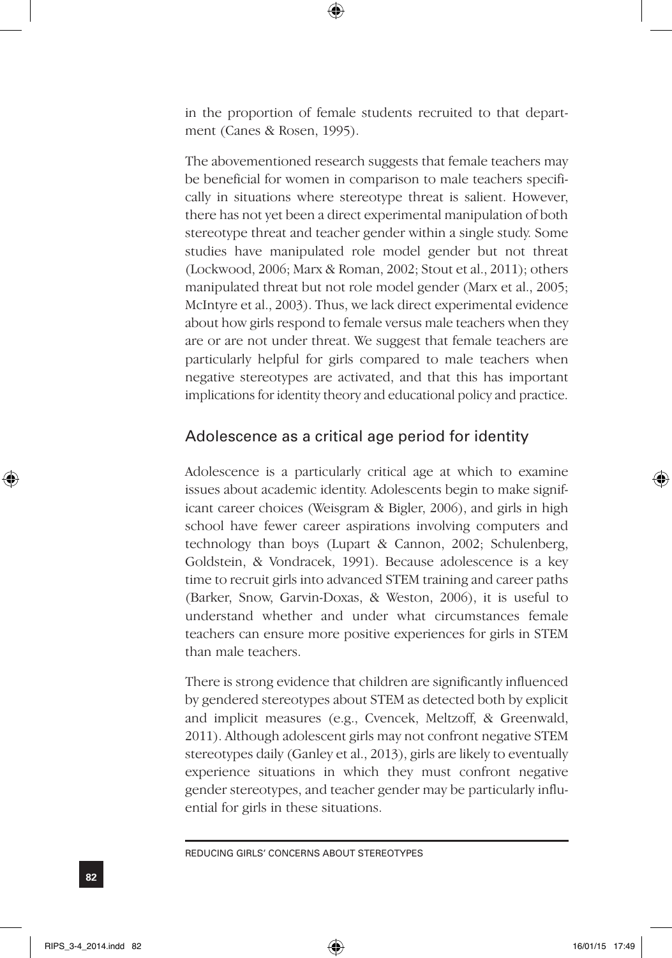in the proportion of female students recruited to that department (Canes & Rosen, 1995).

The abovementioned research suggests that female teachers may be beneficial for women in comparison to male teachers specifically in situations where stereotype threat is salient. However, there has not yet been a direct experimental manipulation of both stereotype threat and teacher gender within a single study. Some studies have manipulated role model gender but not threat (Lockwood, 2006; Marx & Roman, 2002; Stout et al., 2011); others manipulated threat but not role model gender (Marx et al., 2005; McIntyre et al., 2003). Thus, we lack direct experimental evidence about how girls respond to female versus male teachers when they are or are not under threat. We suggest that female teachers are particularly helpful for girls compared to male teachers when negative stereotypes are activated, and that this has important implications for identity theory and educational policy and practice.

## Adolescence as a critical age period for identity

Adolescence is a particularly critical age at which to examine issues about academic identity. Adolescents begin to make significant career choices (Weisgram & Bigler, 2006), and girls in high school have fewer career aspirations involving computers and technology than boys (Lupart & Cannon, 2002; Schulenberg, Goldstein, & Vondracek, 1991). Because adolescence is a key time to recruit girls into advanced STEM training and career paths (Barker, Snow, Garvin-Doxas, & Weston, 2006), it is useful to understand whether and under what circumstances female teachers can ensure more positive experiences for girls in STEM than male teachers.

There is strong evidence that children are significantly influenced by gendered stereotypes about STEM as detected both by explicit and implicit measures (e.g., Cvencek, Meltzoff, & Greenwald, 2011). Although adolescent girls may not confront negative STEM stereotypes daily (Ganley et al., 2013), girls are likely to eventually experience situations in which they must confront negative gender stereotypes, and teacher gender may be particularly influential for girls in these situations.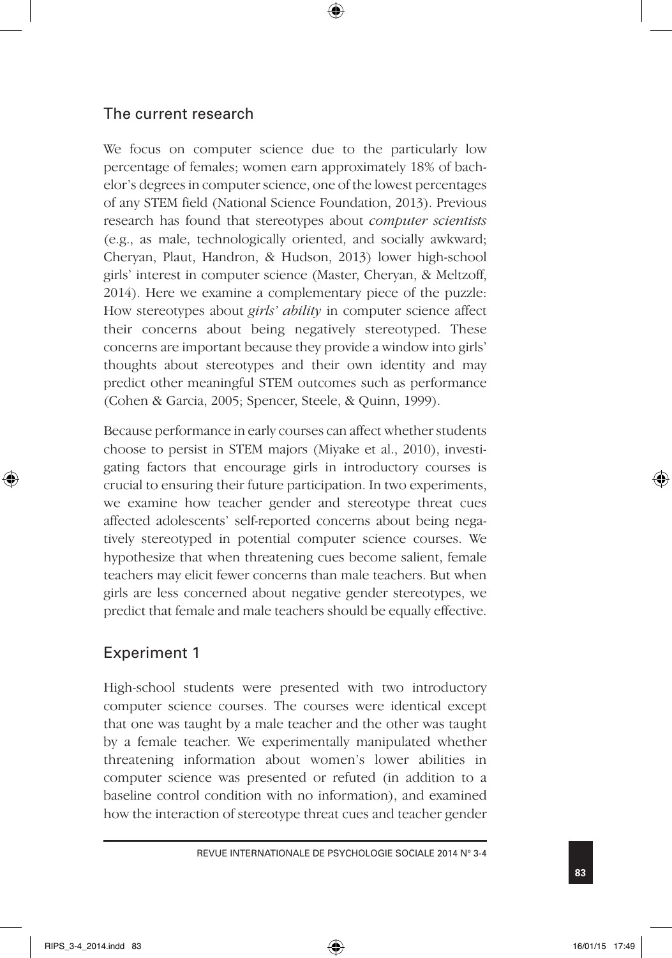## The current research

We focus on computer science due to the particularly low percentage of females; women earn approximately 18% of bachelor's degrees in computer science, one of the lowest percentages of any STEM field (National Science Foundation, 2013). Previous research has found that stereotypes about *computer scientists* (e.g., as male, technologically oriented, and socially awkward; Cheryan, Plaut, Handron, & Hudson, 2013) lower high-school girls' interest in computer science (Master, Cheryan, & Meltzoff, 2014). Here we examine a complementary piece of the puzzle: How stereotypes about *girls' ability* in computer science affect their concerns about being negatively stereotyped. These concerns are important because they provide a window into girls' thoughts about stereotypes and their own identity and may predict other meaningful STEM outcomes such as performance (Cohen & Garcia, 2005; Spencer, Steele, & Quinn, 1999).

Because performance in early courses can affect whether students choose to persist in STEM majors (Miyake et al., 2010), investigating factors that encourage girls in introductory courses is crucial to ensuring their future participation. In two experiments, we examine how teacher gender and stereotype threat cues affected adolescents' self-reported concerns about being negatively stereotyped in potential computer science courses. We hypothesize that when threatening cues become salient, female teachers may elicit fewer concerns than male teachers. But when girls are less concerned about negative gender stereotypes, we predict that female and male teachers should be equally effective.

## Experiment 1

High-school students were presented with two introductory computer science courses. The courses were identical except that one was taught by a male teacher and the other was taught by a female teacher. We experimentally manipulated whether threatening information about women's lower abilities in computer science was presented or refuted (in addition to a baseline control condition with no information), and examined how the interaction of stereotype threat cues and teacher gender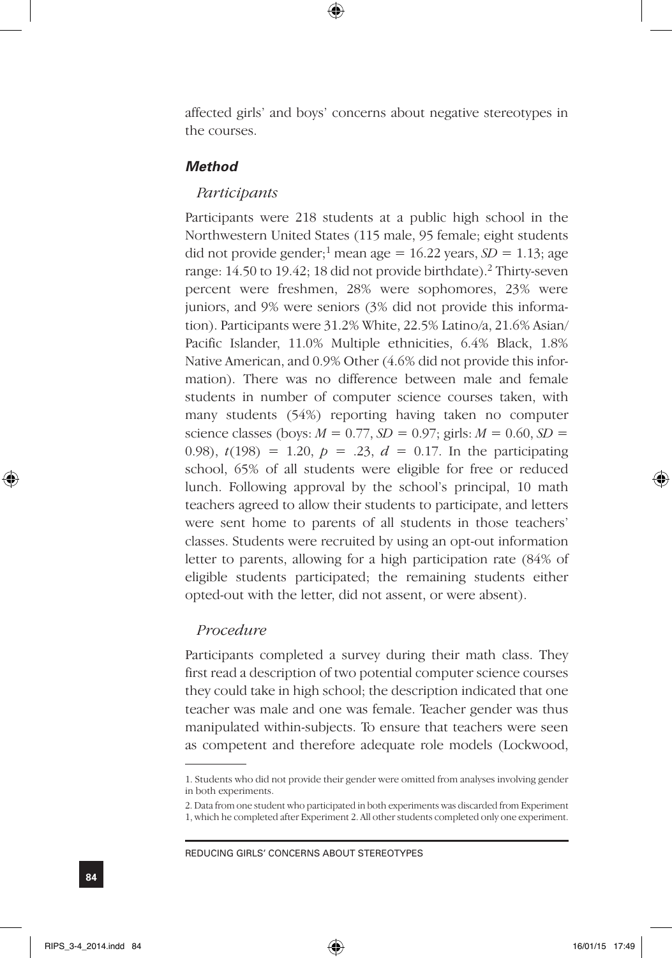affected girls' and boys' concerns about negative stereotypes in the courses.

### *Method*

#### *Participants*

Participants were 218 students at a public high school in the Northwestern United States (115 male, 95 female; eight students did not provide gender;<sup>1</sup> mean age =  $16.22$  years,  $SD = 1.13$ ; age range: 14.50 to 19.42; 18 did not provide birthdate).<sup>2</sup> Thirty-seven percent were freshmen, 28% were sophomores, 23% were juniors, and 9% were seniors (3% did not provide this information). Participants were 31.2% White, 22.5% Latino/a, 21.6% Asian/ Pacific Islander, 11.0% Multiple ethnicities, 6.4% Black, 1.8% Native American, and 0.9% Other (4.6% did not provide this information). There was no difference between male and female students in number of computer science courses taken, with many students (54%) reporting having taken no computer science classes (boys:  $M = 0.77$ ,  $SD = 0.97$ ; girls:  $M = 0.60$ ,  $SD =$ 0.98),  $t(198) = 1.20$ ,  $p = .23$ ,  $d = 0.17$ . In the participating school, 65% of all students were eligible for free or reduced lunch. Following approval by the school's principal, 10 math teachers agreed to allow their students to participate, and letters were sent home to parents of all students in those teachers' classes. Students were recruited by using an opt-out information letter to parents, allowing for a high participation rate (84% of eligible students participated; the remaining students either opted-out with the letter, did not assent, or were absent).

#### *Procedure*

Participants completed a survey during their math class. They first read a description of two potential computer science courses they could take in high school; the description indicated that one teacher was male and one was female. Teacher gender was thus manipulated within-subjects. To ensure that teachers were seen as competent and therefore adequate role models (Lockwood,

<sup>1.</sup> Students who did not provide their gender were omitted from analyses involving gender in both experiments.

<sup>2.</sup> Data from one student who participated in both experiments was discarded from Experiment 1, which he completed after Experiment 2. All other students completed only one experiment.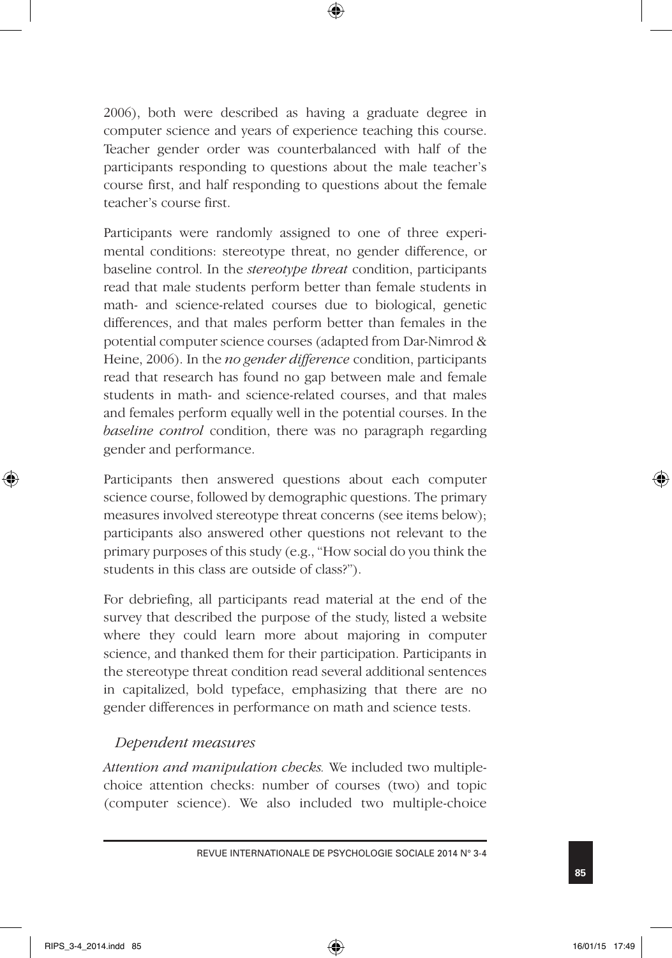2006), both were described as having a graduate degree in computer science and years of experience teaching this course. Teacher gender order was counterbalanced with half of the participants responding to questions about the male teacher's course first, and half responding to questions about the female teacher's course first.

Participants were randomly assigned to one of three experimental conditions: stereotype threat, no gender difference, or baseline control. In the *stereotype threat* condition, participants read that male students perform better than female students in math- and science-related courses due to biological, genetic differences, and that males perform better than females in the potential computer science courses (adapted from Dar-Nimrod & Heine, 2006). In the *no gender difference* condition, participants read that research has found no gap between male and female students in math- and science-related courses, and that males and females perform equally well in the potential courses. In the *baseline control* condition, there was no paragraph regarding gender and performance.

Participants then answered questions about each computer science course, followed by demographic questions. The primary measures involved stereotype threat concerns (see items below); participants also answered other questions not relevant to the primary purposes of this study (e.g., "How social do you think the students in this class are outside of class?").

For debriefing, all participants read material at the end of the survey that described the purpose of the study, listed a website where they could learn more about majoring in computer science, and thanked them for their participation. Participants in the stereotype threat condition read several additional sentences in capitalized, bold typeface, emphasizing that there are no gender differences in performance on math and science tests.

## *Dependent measures*

*Attention and manipulation checks.* We included two multiplechoice attention checks: number of courses (two) and topic (computer science). We also included two multiple-choice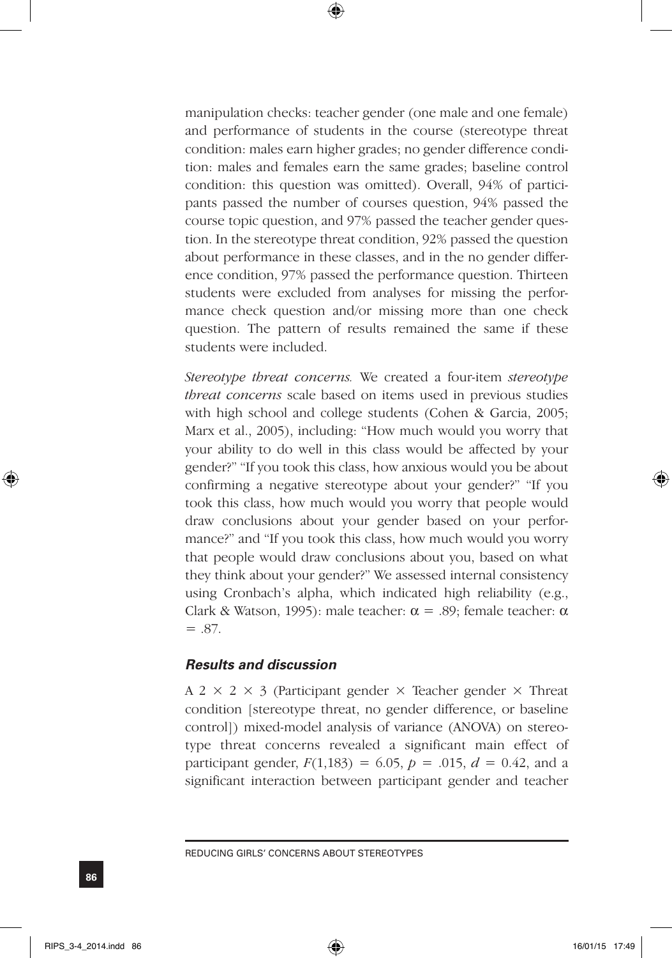manipulation checks: teacher gender (one male and one female) and performance of students in the course (stereotype threat condition: males earn higher grades; no gender difference condition: males and females earn the same grades; baseline control condition: this question was omitted). Overall, 94% of participants passed the number of courses question, 94% passed the course topic question, and 97% passed the teacher gender question. In the stereotype threat condition, 92% passed the question about performance in these classes, and in the no gender difference condition, 97% passed the performance question. Thirteen students were excluded from analyses for missing the performance check question and/or missing more than one check question. The pattern of results remained the same if these students were included.

*Stereotype threat concerns.* We created a four-item *stereotype threat concerns* scale based on items used in previous studies with high school and college students (Cohen & Garcia, 2005; Marx et al., 2005), including: "How much would you worry that your ability to do well in this class would be affected by your gender?" "If you took this class, how anxious would you be about confirming a negative stereotype about your gender?" "If you took this class, how much would you worry that people would draw conclusions about your gender based on your performance?" and "If you took this class, how much would you worry that people would draw conclusions about you, based on what they think about your gender?" We assessed internal consistency using Cronbach's alpha, which indicated high reliability (e.g., Clark & Watson, 1995): male teacher:  $\alpha = .89$ ; female teacher:  $\alpha$  $=.87.$ 

### *Results and discussion*

A 2  $\times$  2  $\times$  3 (Participant gender  $\times$  Teacher gender  $\times$  Threat condition [stereotype threat, no gender difference, or baseline control]) mixed-model analysis of variance (ANOVA) on stereotype threat concerns revealed a significant main effect of participant gender,  $F(1,183) = 6.05$ ,  $p = .015$ ,  $d = 0.42$ , and a significant interaction between participant gender and teacher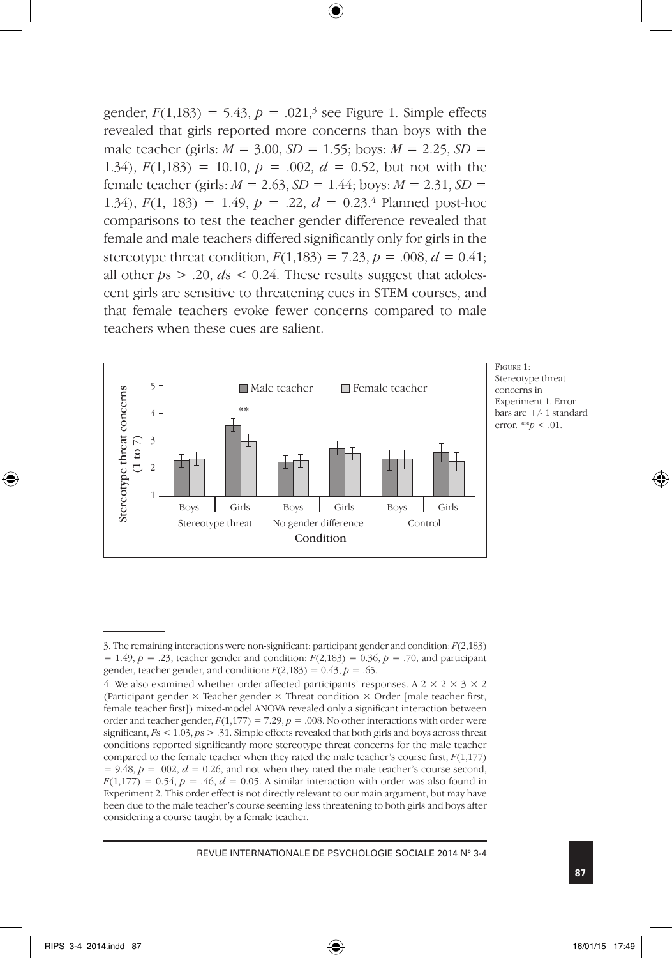gender,  $F(1,183) = 5.43$ ,  $p = .021$ <sup>3</sup> see Figure 1. Simple effects revealed that girls reported more concerns than boys with the male teacher (girls:  $M = 3.00$ ,  $SD = 1.55$ ; boys:  $M = 2.25$ ,  $SD =$ 1.34),  $F(1,183) = 10.10$ ,  $p = .002$ ,  $d = 0.52$ , but not with the female teacher (girls:  $M = 2.63$ ,  $SD = 1.44$ ; boys:  $M = 2.31$ ,  $SD =$ 1.34),  $F(1, 183) = 1.49$ ,  $p = .22$ ,  $d = 0.23$ .<sup>4</sup> Planned post-hoc comparisons to test the teacher gender difference revealed that female and male teachers differed significantly only for girls in the stereotype threat condition,  $F(1,183) = 7.23$ ,  $p = .008$ ,  $d = 0.41$ ; all other  $ps > .20$ ,  $ds < 0.24$ . These results suggest that adolescent girls are sensitive to threatening cues in STEM courses, and that female teachers evoke fewer concerns compared to male teachers when these cues are salient.



Figure 1: Stereotype threat concerns in Experiment 1. Error bars are  $+/$ -1 standard error. \*\**p* < .01.

<sup>3.</sup> The remaining interactions were non-significant: participant gender and condition: *F*(2,183) = 1.49, *p* = .23, teacher gender and condition: *F*(2,183) = 0.36, *p* = .70, and participant gender, teacher gender, and condition:  $F(2,183) = 0.43$ ,  $p = .65$ .

<sup>4.</sup> We also examined whether order affected participants' responses. A  $2 \times 2 \times 3 \times 2$ (Participant gender × Teacher gender × Threat condition × Order [male teacher first, female teacher first]) mixed-model ANOVA revealed only a significant interaction between order and teacher gender,  $F(1,177) = 7.29$ ,  $p = .008$ . No other interactions with order were significant, *F*s < 1.03, *p*s > .31. Simple effects revealed that both girls and boys across threat conditions reported significantly more stereotype threat concerns for the male teacher compared to the female teacher when they rated the male teacher's course first, *F*(1,177)  $= 9.48$ ,  $p = .002$ ,  $d = 0.26$ , and not when they rated the male teacher's course second,  $F(1,177) = 0.54$ ,  $p = .46$ ,  $d = 0.05$ . A similar interaction with order was also found in Experiment 2. This order effect is not directly relevant to our main argument, but may have been due to the male teacher's course seeming less threatening to both girls and boys after considering a course taught by a female teacher.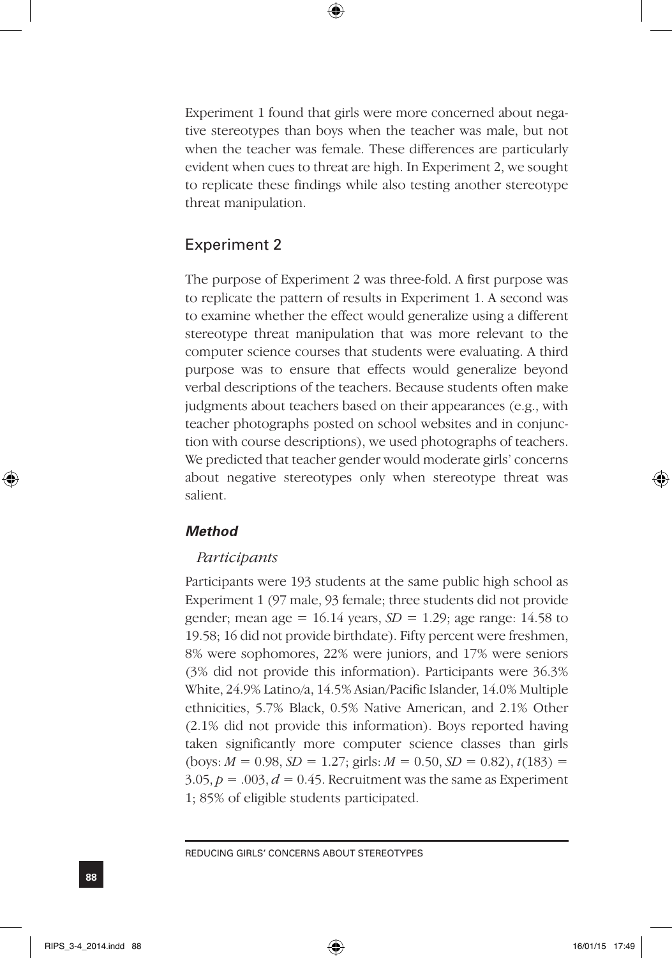Experiment 1 found that girls were more concerned about negative stereotypes than boys when the teacher was male, but not when the teacher was female. These differences are particularly evident when cues to threat are high. In Experiment 2, we sought to replicate these findings while also testing another stereotype threat manipulation.

## Experiment 2

The purpose of Experiment 2 was three-fold. A first purpose was to replicate the pattern of results in Experiment 1. A second was to examine whether the effect would generalize using a different stereotype threat manipulation that was more relevant to the computer science courses that students were evaluating. A third purpose was to ensure that effects would generalize beyond verbal descriptions of the teachers. Because students often make judgments about teachers based on their appearances (e.g., with teacher photographs posted on school websites and in conjunction with course descriptions), we used photographs of teachers. We predicted that teacher gender would moderate girls' concerns about negative stereotypes only when stereotype threat was salient.

## *Method*

#### *Participants*

Participants were 193 students at the same public high school as Experiment 1 (97 male, 93 female; three students did not provide gender; mean age =  $16.14$  years,  $SD = 1.29$ ; age range:  $14.58$  to 19.58; 16 did not provide birthdate). Fifty percent were freshmen, 8% were sophomores, 22% were juniors, and 17% were seniors (3% did not provide this information). Participants were 36.3% White, 24.9% Latino/a, 14.5% Asian/Pacific Islander, 14.0% Multiple ethnicities, 5.7% Black, 0.5% Native American, and 2.1% Other (2.1% did not provide this information). Boys reported having taken significantly more computer science classes than girls  $(\text{boys: } M = 0.98, SD = 1.27; \text{ girls: } M = 0.50, SD = 0.82), t(183) =$  $3.05, p = .003, d = 0.45$ . Recruitment was the same as Experiment 1; 85% of eligible students participated.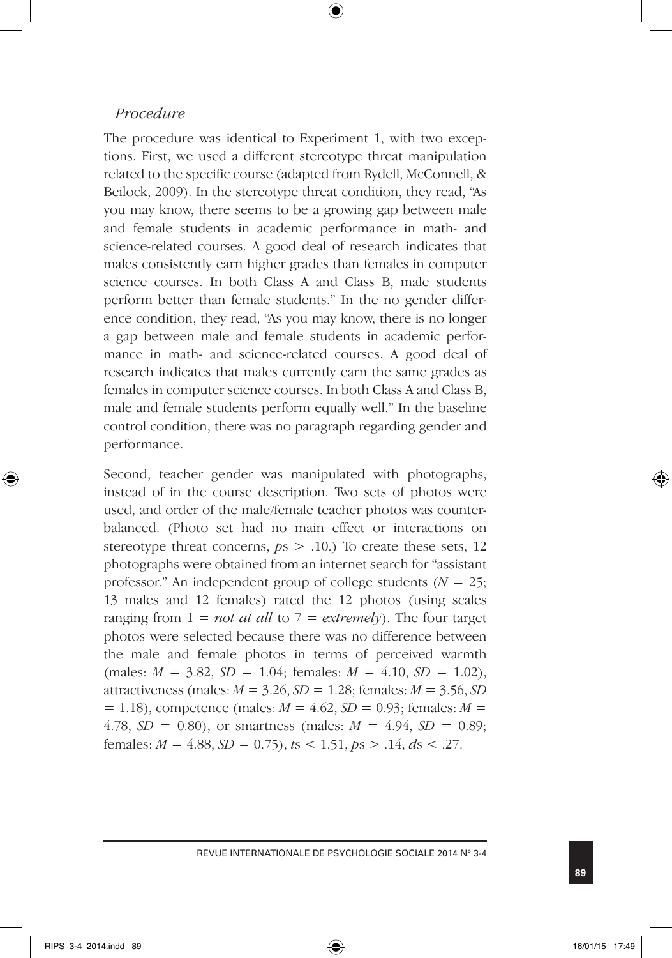### *Procedure*

The procedure was identical to Experiment 1, with two exceptions. First, we used a different stereotype threat manipulation related to the specific course (adapted from Rydell, McConnell, & Beilock, 2009). In the stereotype threat condition, they read, "As you may know, there seems to be a growing gap between male and female students in academic performance in math- and science-related courses. A good deal of research indicates that males consistently earn higher grades than females in computer science courses. In both Class A and Class B, male students perform better than female students." In the no gender difference condition, they read, "As you may know, there is no longer a gap between male and female students in academic performance in math- and science-related courses. A good deal of research indicates that males currently earn the same grades as females in computer science courses. In both Class A and Class B, male and female students perform equally well." In the baseline control condition, there was no paragraph regarding gender and performance.

Second, teacher gender was manipulated with photographs, instead of in the course description. Two sets of photos were used, and order of the male/female teacher photos was counterbalanced. (Photo set had no main effect or interactions on stereotype threat concerns, *p*s > .10.) To create these sets, 12 photographs were obtained from an internet search for "assistant professor." An independent group of college students (*N* = 25; 13 males and 12 females) rated the 12 photos (using scales ranging from 1 = *not at all* to 7 = *extremely*). The four target photos were selected because there was no difference between the male and female photos in terms of perceived warmth  $(males: M = 3.82, SD = 1.04; females: M = 4.10, SD = 1.02)$ attractiveness (males:  $M = 3.26$ ,  $SD = 1.28$ ; females:  $M = 3.56$ , *SD*  $= 1.18$ ), competence (males:  $M = 4.62$ ,  $SD = 0.93$ ; females:  $M =$ 4.78,  $SD = 0.80$ , or smartness (males:  $M = 4.94$ ,  $SD = 0.89$ ; females:  $M = 4.88$ ,  $SD = 0.75$ ,  $ts < 1.51$ ,  $ps > .14$ ,  $ds < .27$ .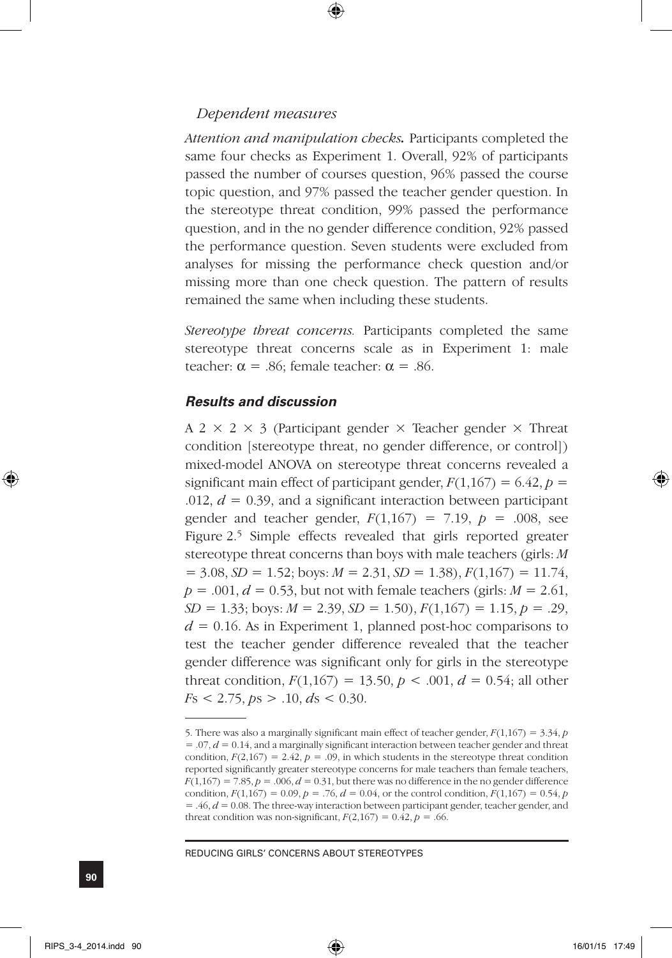### *Dependent measures*

*Attention and manipulation checks.* Participants completed the same four checks as Experiment 1. Overall, 92% of participants passed the number of courses question, 96% passed the course topic question, and 97% passed the teacher gender question. In the stereotype threat condition, 99% passed the performance question, and in the no gender difference condition, 92% passed the performance question. Seven students were excluded from analyses for missing the performance check question and/or missing more than one check question. The pattern of results remained the same when including these students.

*Stereotype threat concerns.* Participants completed the same stereotype threat concerns scale as in Experiment 1: male teacher:  $\alpha = .86$ ; female teacher:  $\alpha = .86$ .

### *Results and discussion*

A 2  $\times$  2  $\times$  3 (Participant gender  $\times$  Teacher gender  $\times$  Threat condition [stereotype threat, no gender difference, or control]) mixed-model ANOVA on stereotype threat concerns revealed a significant main effect of participant gender,  $F(1,167) = 6.42$ ,  $p =$ .012,  $d = 0.39$ , and a significant interaction between participant gender and teacher gender,  $F(1,167) = 7.19$ ,  $p = .008$ , see Figure 2.5 Simple effects revealed that girls reported greater stereotype threat concerns than boys with male teachers (girls: *M*  $= 3.08, SD = 1.52$ ; boys:  $M = 2.31, SD = 1.38$ ),  $F(1,167) = 11.74$ ,  $p = .001, d = 0.53$ , but not with female teachers (girls:  $M = 2.61$ ,  $SD = 1.33$ ; boys:  $M = 2.39$ ,  $SD = 1.50$ ),  $F(1,167) = 1.15$ ,  $p = .29$ ,  $d = 0.16$ . As in Experiment 1, planned post-hoc comparisons to test the teacher gender difference revealed that the teacher gender difference was significant only for girls in the stereotype threat condition,  $F(1,167) = 13.50, p < .001, d = 0.54$ ; all other *F*s < 2.75, *p*s > .10, *d*s < 0.30.

<sup>5.</sup> There was also a marginally significant main effect of teacher gender,  $F(1,167) = 3.34$ ,  $p$ = .07, *d* = 0.14, and a marginally significant interaction between teacher gender and threat condition,  $F(2,167) = 2.42$ ,  $p = .09$ , in which students in the stereotype threat condition reported significantly greater stereotype concerns for male teachers than female teachers,  $F(1,167) = 7.85, p = .006, d = 0.31$ , but there was no difference in the no gender difference condition,  $F(1,167) = 0.09$ ,  $p = .76$ ,  $d = 0.04$ , or the control condition,  $F(1,167) = 0.54$ , *p* = .46, *d* = 0.08. The three-way interaction between participant gender, teacher gender, and threat condition was non-significant,  $F(2,167) = 0.42$ ,  $p = .66$ .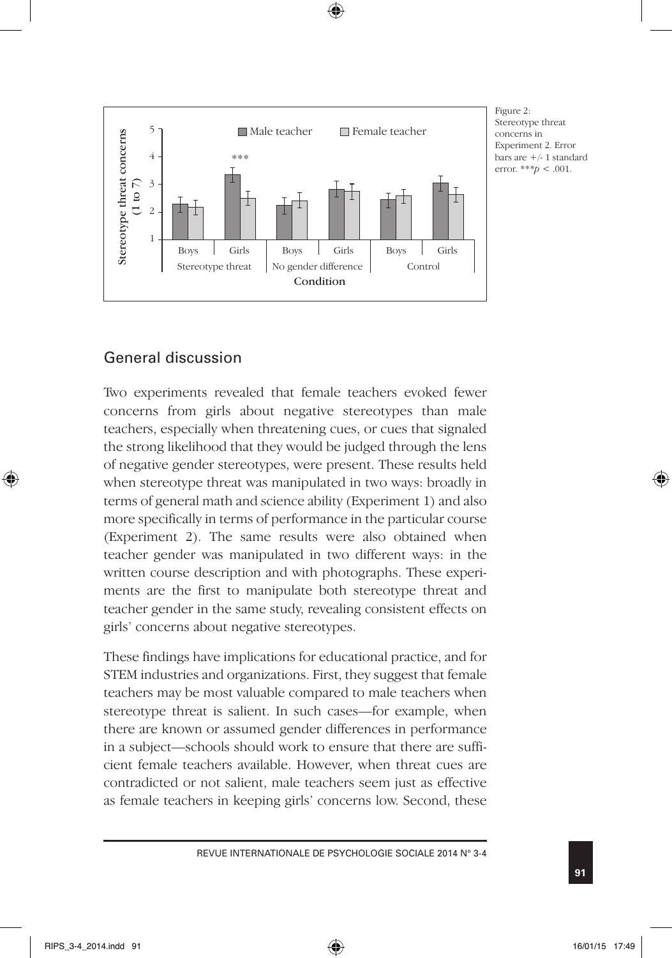

Figure 2: Stereotype threat concerns in Experiment 2. Error bars are +/- 1 standard error. \*\**\*p* < .001.

## General discussion

Two experiments revealed that female teachers evoked fewer concerns from girls about negative stereotypes than male teachers, especially when threatening cues, or cues that signaled the strong likelihood that they would be judged through the lens of negative gender stereotypes, were present. These results held when stereotype threat was manipulated in two ways: broadly in terms of general math and science ability (Experiment 1) and also more specifically in terms of performance in the particular course (Experiment 2). The same results were also obtained when teacher gender was manipulated in two different ways: in the written course description and with photographs. These experiments are the first to manipulate both stereotype threat and teacher gender in the same study, revealing consistent effects on girls' concerns about negative stereotypes.

These findings have implications for educational practice, and for STEM industries and organizations. First, they suggest that female teachers may be most valuable compared to male teachers when stereotype threat is salient. In such cases—for example, when there are known or assumed gender differences in performance in a subject—schools should work to ensure that there are sufficient female teachers available. However, when threat cues are contradicted or not salient, male teachers seem just as effective as female teachers in keeping girls' concerns low. Second, these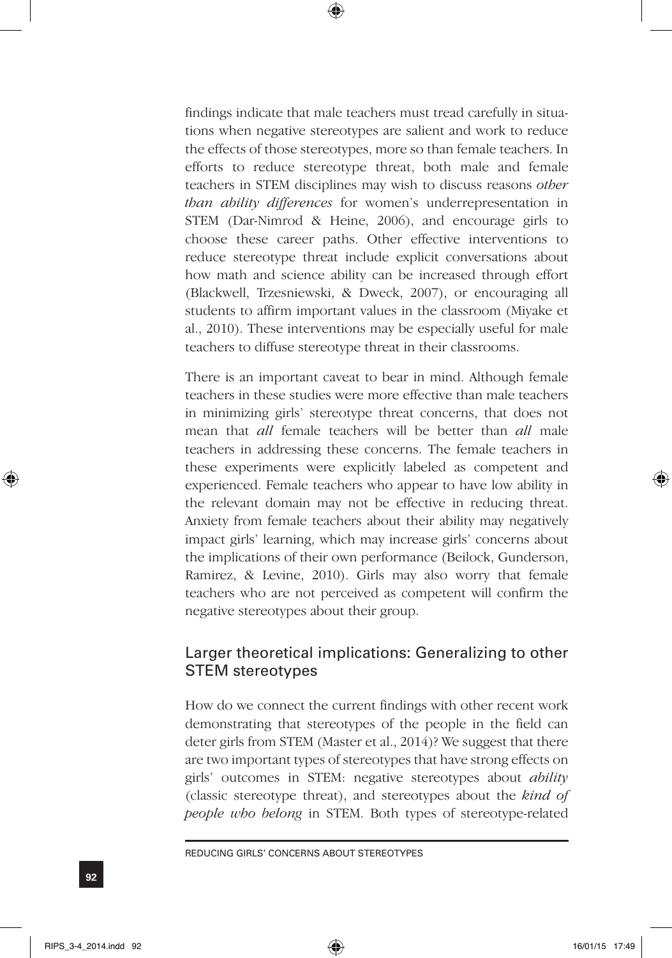findings indicate that male teachers must tread carefully in situations when negative stereotypes are salient and work to reduce the effects of those stereotypes, more so than female teachers. In efforts to reduce stereotype threat, both male and female teachers in STEM disciplines may wish to discuss reasons *other than ability differences* for women's underrepresentation in STEM (Dar-Nimrod & Heine, 2006), and encourage girls to choose these career paths. Other effective interventions to reduce stereotype threat include explicit conversations about how math and science ability can be increased through effort (Blackwell, Trzesniewski, & Dweck, 2007), or encouraging all students to affirm important values in the classroom (Miyake et al., 2010). These interventions may be especially useful for male teachers to diffuse stereotype threat in their classrooms.

There is an important caveat to bear in mind. Although female teachers in these studies were more effective than male teachers in minimizing girls' stereotype threat concerns, that does not mean that *all* female teachers will be better than *all* male teachers in addressing these concerns. The female teachers in these experiments were explicitly labeled as competent and experienced. Female teachers who appear to have low ability in the relevant domain may not be effective in reducing threat. Anxiety from female teachers about their ability may negatively impact girls' learning, which may increase girls' concerns about the implications of their own performance (Beilock, Gunderson, Ramirez, & Levine, 2010). Girls may also worry that female teachers who are not perceived as competent will confirm the negative stereotypes about their group.

## Larger theoretical implications: Generalizing to other STEM stereotypes

How do we connect the current findings with other recent work demonstrating that stereotypes of the people in the field can deter girls from STEM (Master et al., 2014)? We suggest that there are two important types of stereotypes that have strong effects on girls' outcomes in STEM: negative stereotypes about *ability* (classic stereotype threat), and stereotypes about the *kind of people who belong* in STEM. Both types of stereotype-related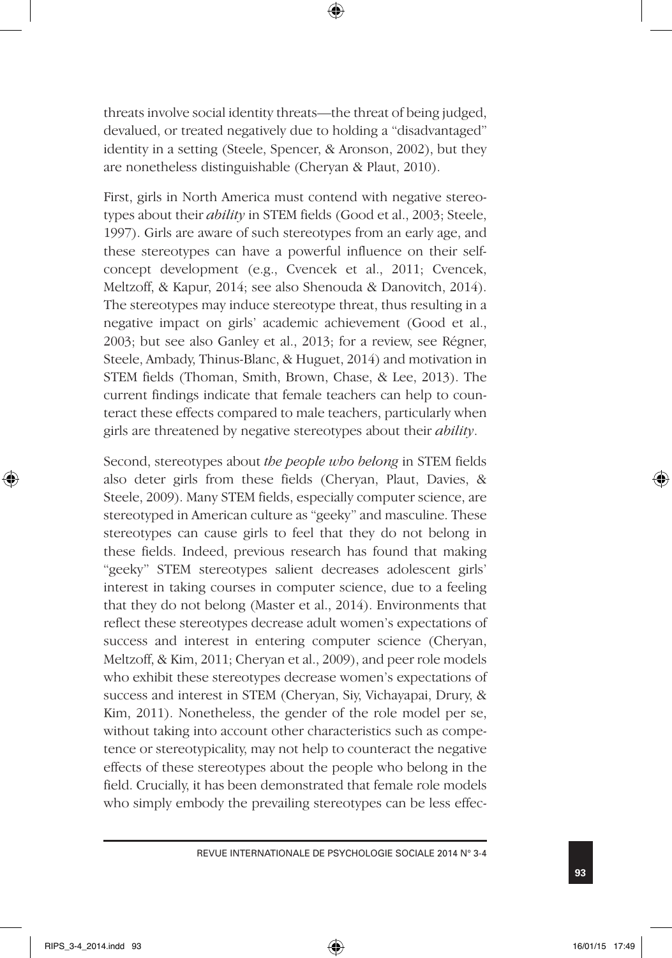threats involve social identity threats—the threat of being judged, devalued, or treated negatively due to holding a "disadvantaged" identity in a setting (Steele, Spencer, & Aronson, 2002), but they are nonetheless distinguishable (Cheryan & Plaut, 2010).

First, girls in North America must contend with negative stereotypes about their *ability* in STEM fields (Good et al., 2003; Steele, 1997). Girls are aware of such stereotypes from an early age, and these stereotypes can have a powerful influence on their selfconcept development (e.g., Cvencek et al., 2011; Cvencek, Meltzoff, & Kapur, 2014; see also Shenouda & Danovitch, 2014). The stereotypes may induce stereotype threat, thus resulting in a negative impact on girls' academic achievement (Good et al., 2003; but see also Ganley et al., 2013; for a review, see Régner, Steele, Ambady, Thinus-Blanc, & Huguet, 2014) and motivation in STEM fields (Thoman, Smith, Brown, Chase, & Lee, 2013). The current findings indicate that female teachers can help to counteract these effects compared to male teachers, particularly when girls are threatened by negative stereotypes about their *ability*.

Second, stereotypes about *the people who belong* in STEM fields also deter girls from these fields (Cheryan, Plaut, Davies, & Steele, 2009). Many STEM fields, especially computer science, are stereotyped in American culture as "geeky" and masculine. These stereotypes can cause girls to feel that they do not belong in these fields. Indeed, previous research has found that making "geeky" STEM stereotypes salient decreases adolescent girls' interest in taking courses in computer science, due to a feeling that they do not belong (Master et al., 2014). Environments that reflect these stereotypes decrease adult women's expectations of success and interest in entering computer science (Cheryan, Meltzoff, & Kim, 2011; Cheryan et al., 2009), and peer role models who exhibit these stereotypes decrease women's expectations of success and interest in STEM (Cheryan, Siy, Vichayapai, Drury, & Kim, 2011). Nonetheless, the gender of the role model per se, without taking into account other characteristics such as competence or stereotypicality, may not help to counteract the negative effects of these stereotypes about the people who belong in the field. Crucially, it has been demonstrated that female role models who simply embody the prevailing stereotypes can be less effec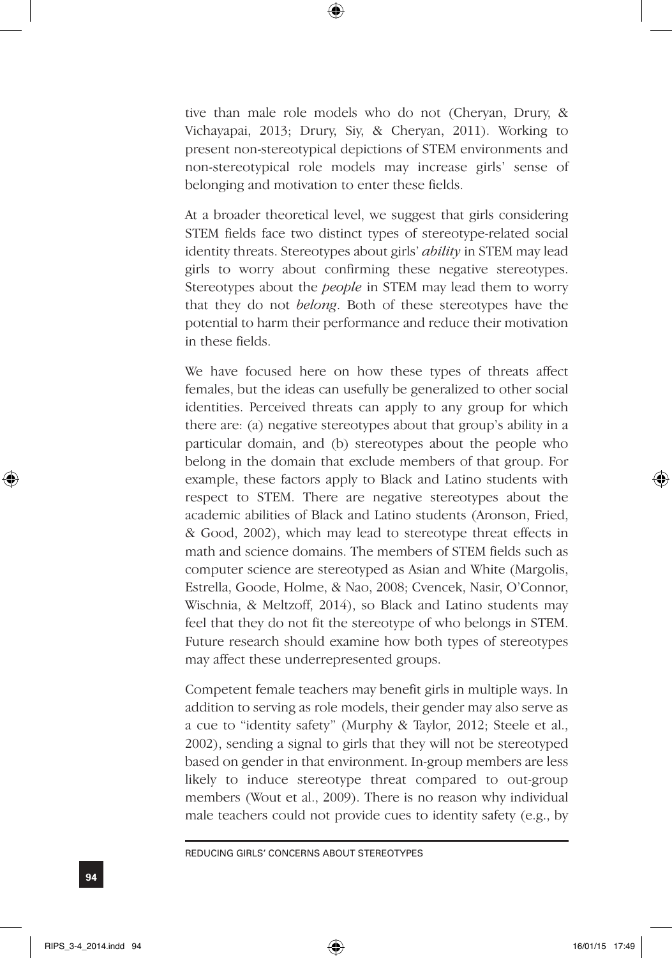tive than male role models who do not (Cheryan, Drury, & Vichayapai, 2013; Drury, Siy, & Cheryan, 2011). Working to present non-stereotypical depictions of STEM environments and non-stereotypical role models may increase girls' sense of belonging and motivation to enter these fields.

At a broader theoretical level, we suggest that girls considering STEM fields face two distinct types of stereotype-related social identity threats. Stereotypes about girls' *ability* in STEM may lead girls to worry about confirming these negative stereotypes. Stereotypes about the *people* in STEM may lead them to worry that they do not *belong*. Both of these stereotypes have the potential to harm their performance and reduce their motivation in these fields.

We have focused here on how these types of threats affect females, but the ideas can usefully be generalized to other social identities. Perceived threats can apply to any group for which there are: (a) negative stereotypes about that group's ability in a particular domain, and (b) stereotypes about the people who belong in the domain that exclude members of that group. For example, these factors apply to Black and Latino students with respect to STEM. There are negative stereotypes about the academic abilities of Black and Latino students (Aronson, Fried, & Good, 2002), which may lead to stereotype threat effects in math and science domains. The members of STEM fields such as computer science are stereotyped as Asian and White (Margolis, Estrella, Goode, Holme, & Nao, 2008; Cvencek, Nasir, O'Connor, Wischnia, & Meltzoff, 2014), so Black and Latino students may feel that they do not fit the stereotype of who belongs in STEM. Future research should examine how both types of stereotypes may affect these underrepresented groups.

Competent female teachers may benefit girls in multiple ways. In addition to serving as role models, their gender may also serve as a cue to "identity safety" (Murphy & Taylor, 2012; Steele et al., 2002), sending a signal to girls that they will not be stereotyped based on gender in that environment. In-group members are less likely to induce stereotype threat compared to out-group members (Wout et al., 2009). There is no reason why individual male teachers could not provide cues to identity safety (e.g., by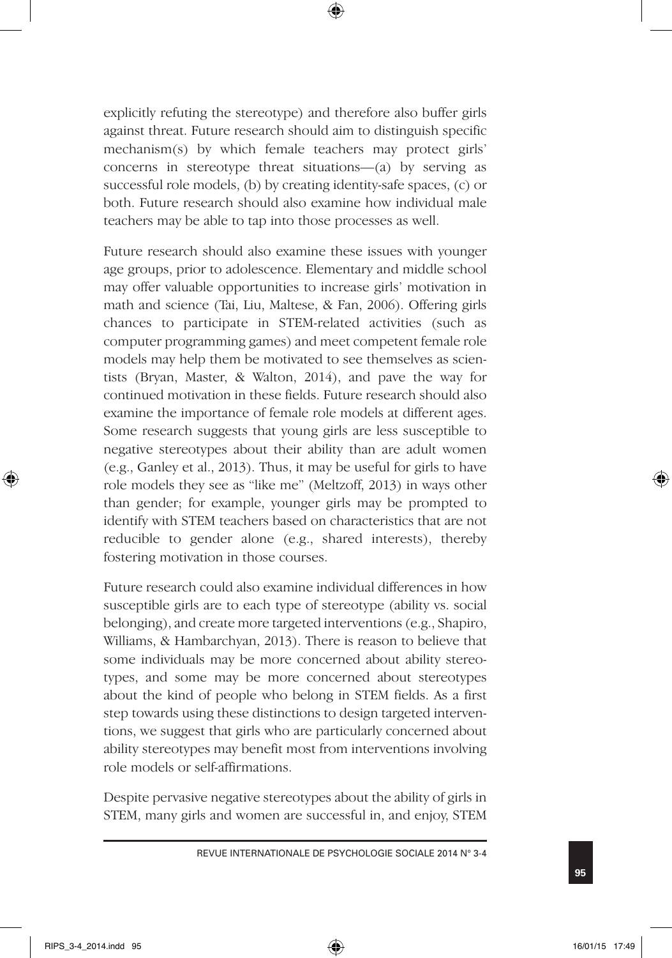explicitly refuting the stereotype) and therefore also buffer girls against threat. Future research should aim to distinguish specific mechanism(s) by which female teachers may protect girls' concerns in stereotype threat situations—(a) by serving as successful role models, (b) by creating identity-safe spaces, (c) or both. Future research should also examine how individual male teachers may be able to tap into those processes as well.

Future research should also examine these issues with younger age groups, prior to adolescence. Elementary and middle school may offer valuable opportunities to increase girls' motivation in math and science (Tai, Liu, Maltese, & Fan, 2006). Offering girls chances to participate in STEM-related activities (such as computer programming games) and meet competent female role models may help them be motivated to see themselves as scientists (Bryan, Master, & Walton, 2014), and pave the way for continued motivation in these fields. Future research should also examine the importance of female role models at different ages. Some research suggests that young girls are less susceptible to negative stereotypes about their ability than are adult women (e.g., Ganley et al., 2013). Thus, it may be useful for girls to have role models they see as "like me" (Meltzoff, 2013) in ways other than gender; for example, younger girls may be prompted to identify with STEM teachers based on characteristics that are not reducible to gender alone (e.g., shared interests), thereby fostering motivation in those courses.

Future research could also examine individual differences in how susceptible girls are to each type of stereotype (ability vs. social belonging), and create more targeted interventions (e.g., Shapiro, Williams, & Hambarchyan, 2013). There is reason to believe that some individuals may be more concerned about ability stereotypes, and some may be more concerned about stereotypes about the kind of people who belong in STEM fields. As a first step towards using these distinctions to design targeted interventions, we suggest that girls who are particularly concerned about ability stereotypes may benefit most from interventions involving role models or self-affirmations.

Despite pervasive negative stereotypes about the ability of girls in STEM, many girls and women are successful in, and enjoy, STEM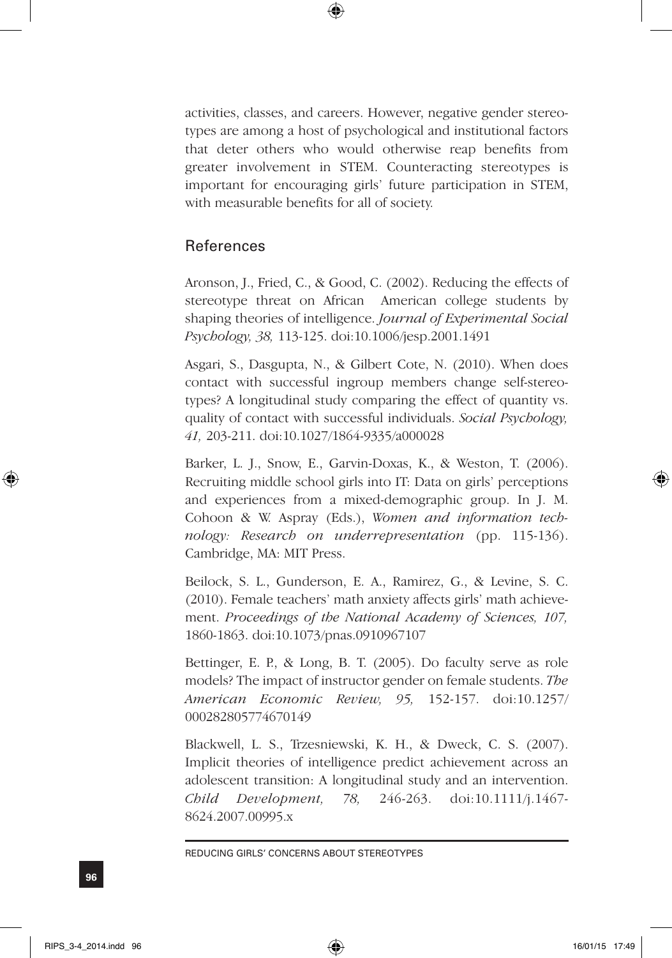activities, classes, and careers. However, negative gender stereotypes are among a host of psychological and institutional factors that deter others who would otherwise reap benefits from greater involvement in STEM. Counteracting stereotypes is important for encouraging girls' future participation in STEM, with measurable benefits for all of society.

## References

Aronson, J., Fried, C., & Good, C. (2002). Reducing the effects of stereotype threat on African American college students by shaping theories of intelligence. *Journal of Experimental Social Psychology, 38,* 113-125. doi:10.1006/jesp.2001.1491

Asgari, S., Dasgupta, N., & Gilbert Cote, N. (2010). When does contact with successful ingroup members change self-stereotypes? A longitudinal study comparing the effect of quantity vs. quality of contact with successful individuals. *Social Psychology, 41,* 203-211. doi:10.1027/1864-9335/a000028

Barker, L. J., Snow, E., Garvin-Doxas, K., & Weston, T. (2006). Recruiting middle school girls into IT: Data on girls' perceptions and experiences from a mixed-demographic group. In J. M. Cohoon & W. Aspray (Eds.), *Women and information technology: Research on underrepresentation* (pp. 115-136). Cambridge, MA: MIT Press.

Beilock, S. L., Gunderson, E. A., Ramirez, G., & Levine, S. C. (2010). Female teachers' math anxiety affects girls' math achievement. *Proceedings of the National Academy of Sciences, 107,* 1860-1863. doi:10.1073/pnas.0910967107

Bettinger, E. P., & Long, B. T. (2005). Do faculty serve as role models? The impact of instructor gender on female students. *The American Economic Review, 95,* 152-157. doi:10.1257/ 000282805774670149

Blackwell, L. S., Trzesniewski, K. H., & Dweck, C. S. (2007). Implicit theories of intelligence predict achievement across an adolescent transition: A longitudinal study and an intervention. *Child Development, 78,* 246-263. doi:10.1111/j.1467- 8624.2007.00995.x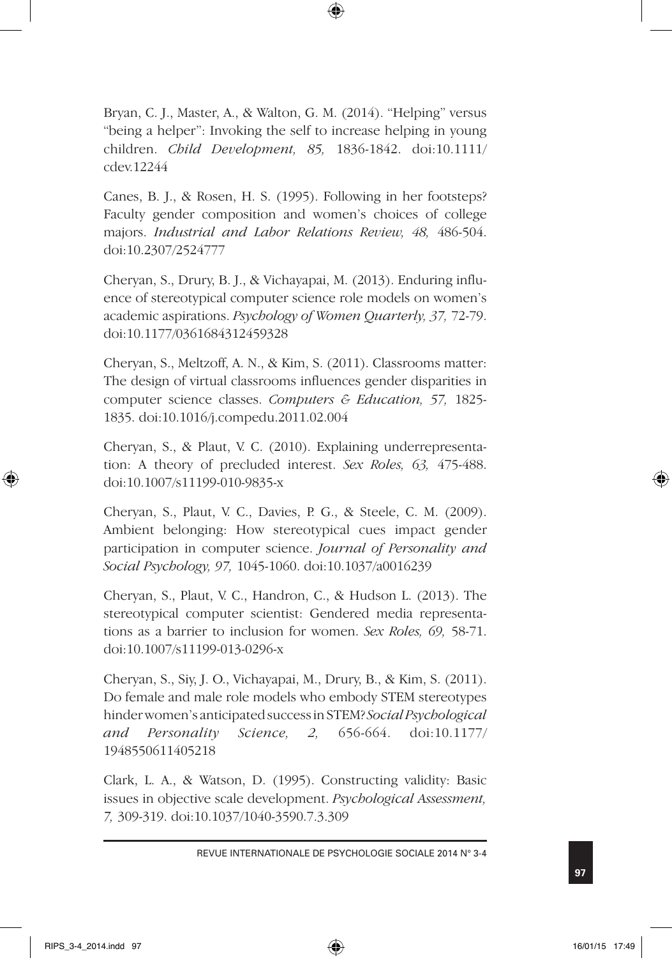Bryan, C. J., Master, A., & Walton, G. M. (2014). "Helping" versus "being a helper": Invoking the self to increase helping in young children. *Child Development, 85,* 1836-1842. doi:10.1111/ cdev.12244

Canes, B. J., & Rosen, H. S. (1995). Following in her footsteps? Faculty gender composition and women's choices of college majors. *Industrial and Labor Relations Review, 48,* 486-504. doi:10.2307/2524777

Cheryan, S., Drury, B. J., & Vichayapai, M. (2013). Enduring influence of stereotypical computer science role models on women's academic aspirations. *Psychology of Women Quarterly, 37,* 72-79. doi:10.1177/0361684312459328

Cheryan, S., Meltzoff, A. N., & Kim, S. (2011). Classrooms matter: The design of virtual classrooms influences gender disparities in computer science classes. *Computers & Education, 57,* 1825- 1835. doi:10.1016/j.compedu.2011.02.004

Cheryan, S., & Plaut, V. C. (2010). Explaining underrepresentation: A theory of precluded interest. *Sex Roles, 63,* 475-488. doi:10.1007/s11199-010-9835-x

Cheryan, S., Plaut, V. C., Davies, P. G., & Steele, C. M. (2009). Ambient belonging: How stereotypical cues impact gender participation in computer science. *Journal of Personality and Social Psychology, 97,* 1045-1060. doi:10.1037/a0016239

Cheryan, S., Plaut, V. C., Handron, C., & Hudson L. (2013). The stereotypical computer scientist: Gendered media representations as a barrier to inclusion for women. *Sex Roles, 69,* 58-71. doi:10.1007/s11199-013-0296-x

Cheryan, S., Siy, J. O., Vichayapai, M., Drury, B., & Kim, S. (2011). Do female and male role models who embody STEM stereotypes hinder women's anticipated success in STEM? *Social Psychological and Personality Science, 2,* 656-664. doi:10.1177/ 1948550611405218

Clark, L. A., & Watson, D. (1995). Constructing validity: Basic issues in objective scale development. *Psychological Assessment, 7,* 309-319. doi:10.1037/1040-3590.7.3.309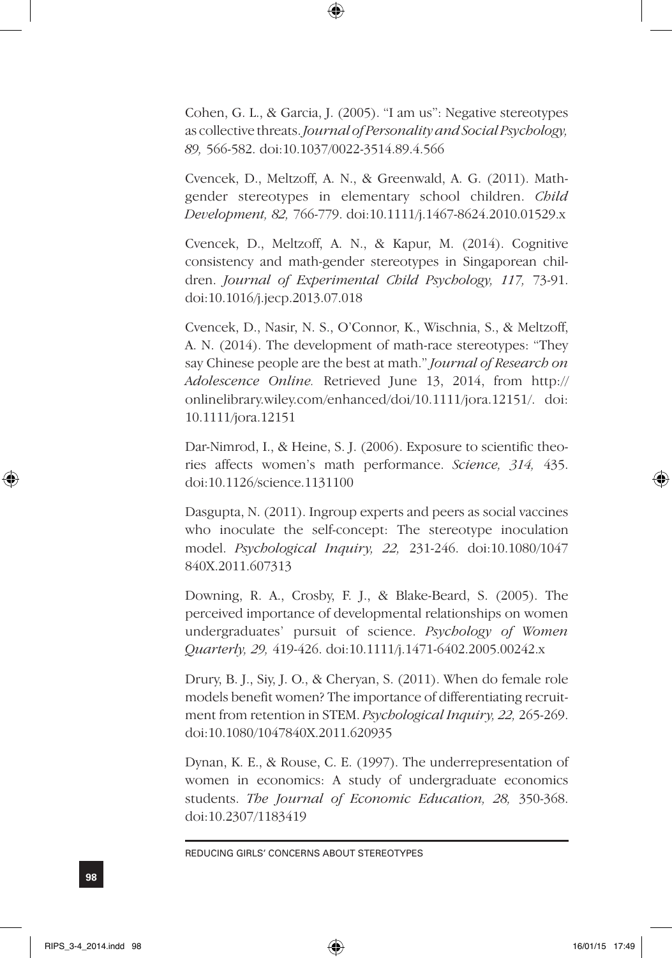Cohen, G. L., & Garcia, J. (2005). "I am us": Negative stereotypes as collective threats. *Journal of Personality and Social Psychology, 89,* 566-582. doi:10.1037/0022-3514.89.4.566

Cvencek, D., Meltzoff, A. N., & Greenwald, A. G. (2011). Mathgender stereotypes in elementary school children. *Child Development, 82,* 766-779. doi:10.1111/j.1467-8624.2010.01529.x

Cvencek, D., Meltzoff, A. N., & Kapur, M. (2014). Cognitive consistency and math-gender stereotypes in Singaporean children. *Journal of Experimental Child Psychology, 117,* 73-91. doi:10.1016/j.jecp.2013.07.018

Cvencek, D., Nasir, N. S., O'Connor, K., Wischnia, S., & Meltzoff, A. N. (2014). The development of math-race stereotypes: "They say Chinese people are the best at math." *Journal of Research on Adolescence Online.* Retrieved June 13, 2014, from http:// onlinelibrary.wiley.com/enhanced/doi/10.1111/jora.12151/. doi: 10.1111/jora.12151

Dar-Nimrod, I., & Heine, S. J. (2006). Exposure to scientific theories affects women's math performance. *Science, 314,* 435. doi:10.1126/science.1131100

Dasgupta, N. (2011). Ingroup experts and peers as social vaccines who inoculate the self-concept: The stereotype inoculation model. *Psychological Inquiry, 22,* 231-246. doi:10.1080/1047 840X.2011.607313

Downing, R. A., Crosby, F. J., & Blake-Beard, S. (2005). The perceived importance of developmental relationships on women undergraduates' pursuit of science. *Psychology of Women Quarterly, 29,* 419-426. doi:10.1111/j.1471-6402.2005.00242.x

Drury, B. J., Siy, J. O., & Cheryan, S. (2011). When do female role models benefit women? The importance of differentiating recruitment from retention in STEM. *Psychological Inquiry, 22,* 265-269. doi:10.1080/1047840X.2011.620935

Dynan, K. E., & Rouse, C. E. (1997). The underrepresentation of women in economics: A study of undergraduate economics students. *The Journal of Economic Education, 28,* 350-368. doi:10.2307/1183419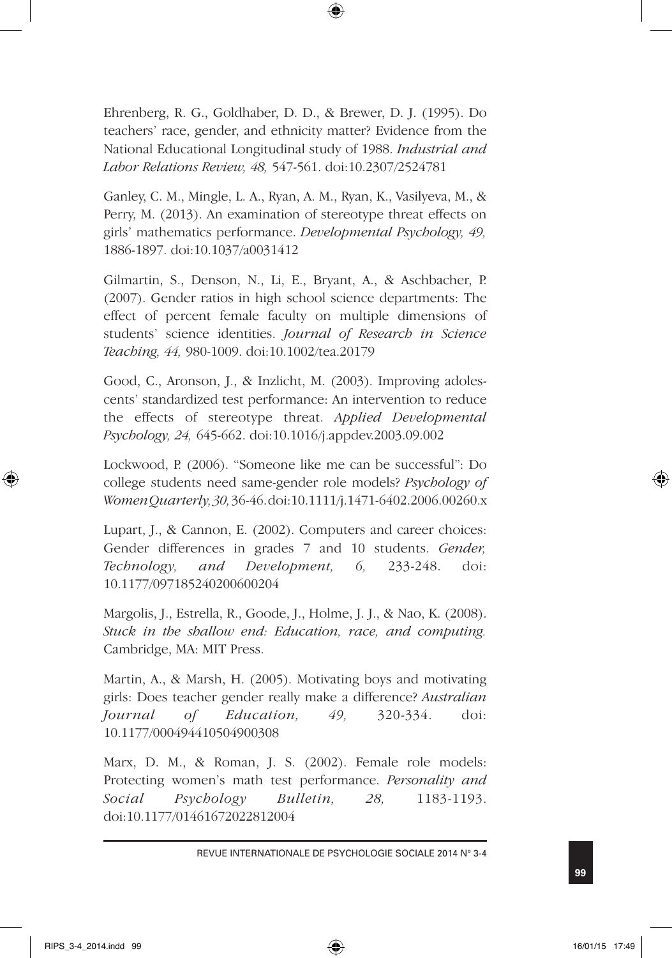Ehrenberg, R. G., Goldhaber, D. D., & Brewer, D. J. (1995). Do teachers' race, gender, and ethnicity matter? Evidence from the National Educational Longitudinal study of 1988. *Industrial and Labor Relations Review, 48,* 547-561. doi:10.2307/2524781

Ganley, C. M., Mingle, L. A., Ryan, A. M., Ryan, K., Vasilyeva, M., & Perry, M. (2013). An examination of stereotype threat effects on girls' mathematics performance. *Developmental Psychology, 49,*  1886-1897. doi:10.1037/a0031412

Gilmartin, S., Denson, N., Li, E., Bryant, A., & Aschbacher, P. (2007). Gender ratios in high school science departments: The effect of percent female faculty on multiple dimensions of students' science identities. *Journal of Research in Science Teaching, 44,* 980-1009. doi:10.1002/tea.20179

Good, C., Aronson, J., & Inzlicht, M. (2003). Improving adolescents' standardized test performance: An intervention to reduce the effects of stereotype threat. *Applied Developmental Psychology, 24,* 645-662. doi:10.1016/j.appdev.2003.09.002

Lockwood, P. (2006). "Someone like me can be successful": Do college students need same-gender role models? *Psychology of Women Quarterly, 30,* 36-46. doi:10.1111/j.1471-6402.2006.00260.x

Lupart, J., & Cannon, E. (2002). Computers and career choices: Gender differences in grades 7 and 10 students. *Gender, Technology, and Development, 6,* 233-248. doi: 10.1177/097185240200600204

Margolis, J., Estrella, R., Goode, J., Holme, J. J., & Nao, K. (2008). *Stuck in the shallow end: Education, race, and computing.*  Cambridge, MA: MIT Press.

Martin, A., & Marsh, H. (2005). Motivating boys and motivating girls: Does teacher gender really make a difference? *Australian Journal of Education, 49,* 320-334. doi: 10.1177/000494410504900308

Marx, D. M., & Roman, J. S. (2002). Female role models: Protecting women's math test performance. *Personality and Social Psychology Bulletin, 28,* 1183-1193. doi:10.1177/01461672022812004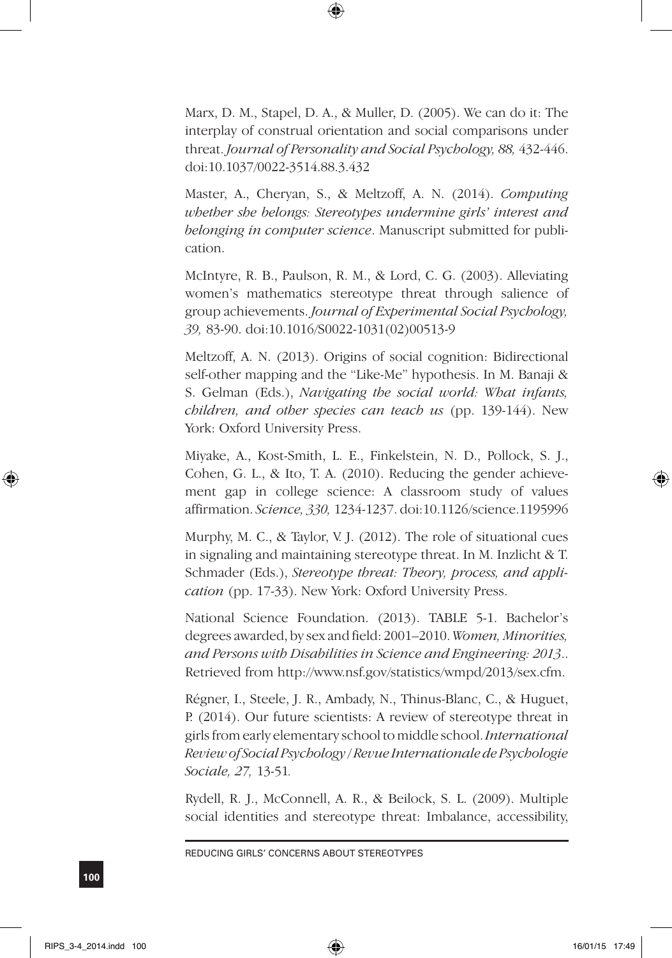Marx, D. M., Stapel, D. A., & Muller, D. (2005). We can do it: The interplay of construal orientation and social comparisons under threat. *Journal of Personality and Social Psychology, 88,* 432-446. doi:10.1037/0022-3514.88.3.432

Master, A., Cheryan, S., & Meltzoff, A. N. (2014). *Computing whether she belongs: Stereotypes undermine girls' interest and belonging in computer science*. Manuscript submitted for publication.

McIntyre, R. B., Paulson, R. M., & Lord, C. G. (2003). Alleviating women's mathematics stereotype threat through salience of group achievements. *Journal of Experimental Social Psychology, 39,* 83-90. doi:10.1016/S0022-1031(02)00513-9

Meltzoff, A. N. (2013). Origins of social cognition: Bidirectional self-other mapping and the "Like-Me" hypothesis. In M. Banaji & S. Gelman (Eds.), *Navigating the social world: What infants, children, and other species can teach us* (pp. 139-144). New York: Oxford University Press.

Miyake, A., Kost-Smith, L. E., Finkelstein, N. D., Pollock, S. J., Cohen, G. L., & Ito, T. A. (2010). Reducing the gender achievement gap in college science: A classroom study of values affirmation. *Science, 330,* 1234-1237. doi:10.1126/science.1195996

Murphy, M. C., & Taylor, V. J. (2012). The role of situational cues in signaling and maintaining stereotype threat. In M. Inzlicht & T. Schmader (Eds.), *Stereotype threat: Theory, process, and application* (pp. 17-33). New York: Oxford University Press.

National Science Foundation. (2013). TABLE 5-1. Bachelor's degrees awarded, by sex and field: 2001–2010. *Women, Minorities, and Persons with Disabilities in Science and Engineering: 2013*.. Retrieved from http://www.nsf.gov/statistics/wmpd/2013/sex.cfm.

Régner, I., Steele, J. R., Ambady, N., Thinus-Blanc, C., & Huguet, P. (2014). Our future scientists: A review of stereotype threat in girls from early elementary school to middle school. *International Review of Social Psychology / Revue Internationale de Psychologie Sociale, 27,* 13-51*.*

Rydell, R. J., McConnell, A. R., & Beilock, S. L. (2009). Multiple social identities and stereotype threat: Imbalance, accessibility,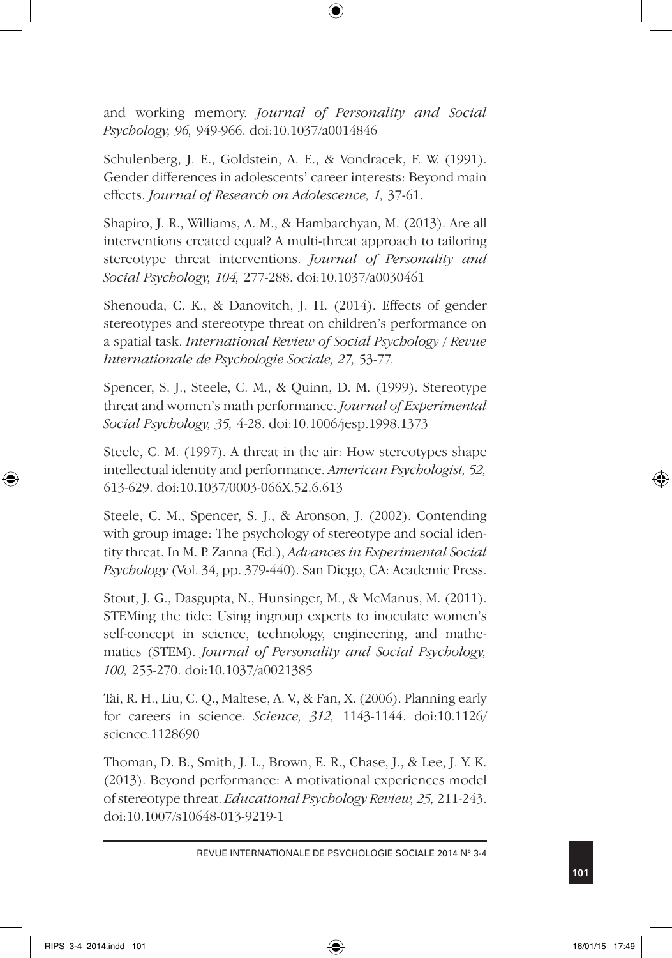and working memory. *Journal of Personality and Social Psychology, 96,* 949-966. doi:10.1037/a0014846

Schulenberg, J. E., Goldstein, A. E., & Vondracek, F. W. (1991). Gender differences in adolescents' career interests: Beyond main effects. *Journal of Research on Adolescence, 1,* 37-61.

Shapiro, J. R., Williams, A. M., & Hambarchyan, M. (2013). Are all interventions created equal? A multi-threat approach to tailoring stereotype threat interventions. *Journal of Personality and Social Psychology, 104,* 277-288. doi:10.1037/a0030461

Shenouda, C. K., & Danovitch, J. H. (2014). Effects of gender stereotypes and stereotype threat on children's performance on a spatial task. *International Review of Social Psychology / Revue Internationale de Psychologie Sociale, 27,* 53-77*.*

Spencer, S. J., Steele, C. M., & Quinn, D. M. (1999). Stereotype threat and women's math performance. *Journal of Experimental Social Psychology, 35,* 4-28. doi:10.1006/jesp.1998.1373

Steele, C. M. (1997). A threat in the air: How stereotypes shape intellectual identity and performance. *American Psychologist, 52,* 613-629. doi:10.1037/0003-066X.52.6.613

Steele, C. M., Spencer, S. J., & Aronson, J. (2002). Contending with group image: The psychology of stereotype and social identity threat. In M. P. Zanna (Ed.), *Advances in Experimental Social Psychology* (Vol. 34, pp. 379-440). San Diego, CA: Academic Press.

Stout, J. G., Dasgupta, N., Hunsinger, M., & McManus, M. (2011). STEMing the tide: Using ingroup experts to inoculate women's self-concept in science, technology, engineering, and mathematics (STEM). *Journal of Personality and Social Psychology, 100,* 255-270. doi:10.1037/a0021385

Tai, R. H., Liu, C. Q., Maltese, A. V., & Fan, X. (2006). Planning early for careers in science. *Science, 312,* 1143-1144. doi:10.1126/ science.1128690

Thoman, D. B., Smith, J. L., Brown, E. R., Chase, J., & Lee, J. Y. K. (2013). Beyond performance: A motivational experiences model of stereotype threat. *Educational Psychology Review, 25,* 211-243. doi:10.1007/s10648-013-9219-1